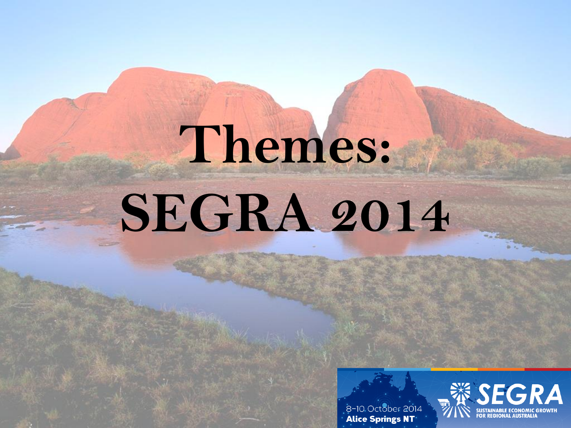# **Themes: SEGRA 2014**



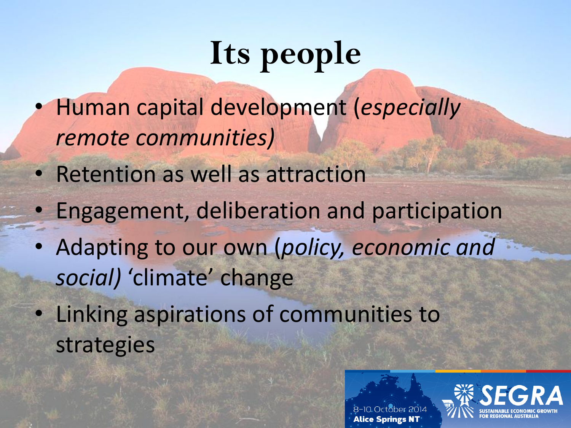## **Its people**

- Human capital development (*especially remote communities)*
- Retention as well as attraction
- Engagement, deliberation and participation
- Adapting to our own (*policy, economic and social)* 'climate' change
- Linking aspirations of communities to strategies



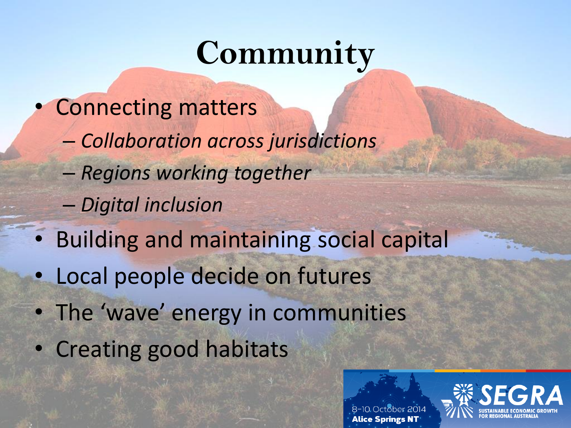### **Community**

- Connecting matters
	- *Collaboration across jurisdictions*
	- *Regions working together*
	- *Digital inclusion*
- Building and maintaining social capital
- Local people decide on futures
- The 'wave' energy in communities
- Creating good habitats



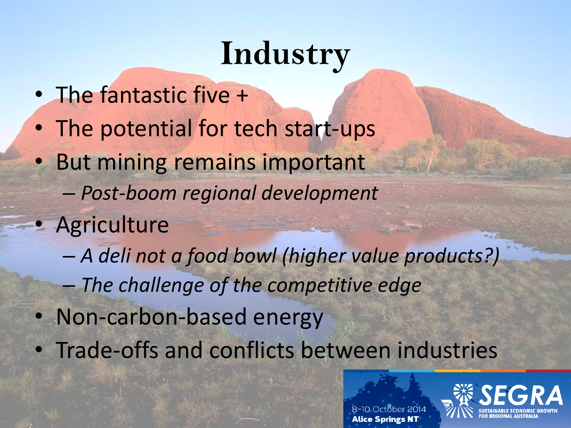### **Industry**

- The fantastic five +
- The potential for tech start-ups
- But mining remains important
	- *Post-boom regional development*
- Agriculture
	- *A deli not a food bowl (higher value products?)*
	- *The challenge of the competitive edge*
- Non-carbon-based energy
- Trade-offs and conflicts between industries

Alice Springs N

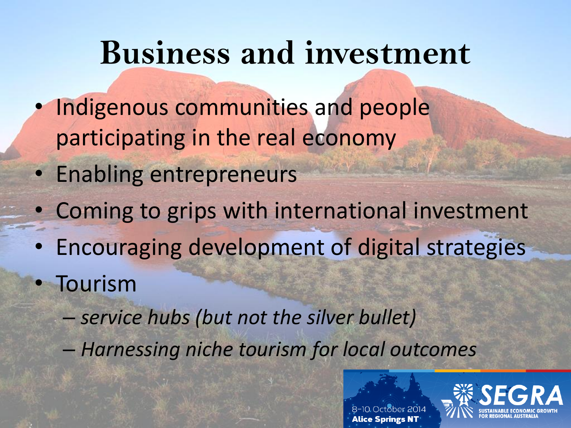#### **Business and investment**

- Indigenous communities and people participating in the real economy
- Enabling entrepreneurs
- Coming to grips with international investment
- Encouraging development of digital strategies
- Tourism
	- *service hubs (but not the silver bullet)*
	- *Harnessing niche tourism for local outcomes*

Alice Springs N